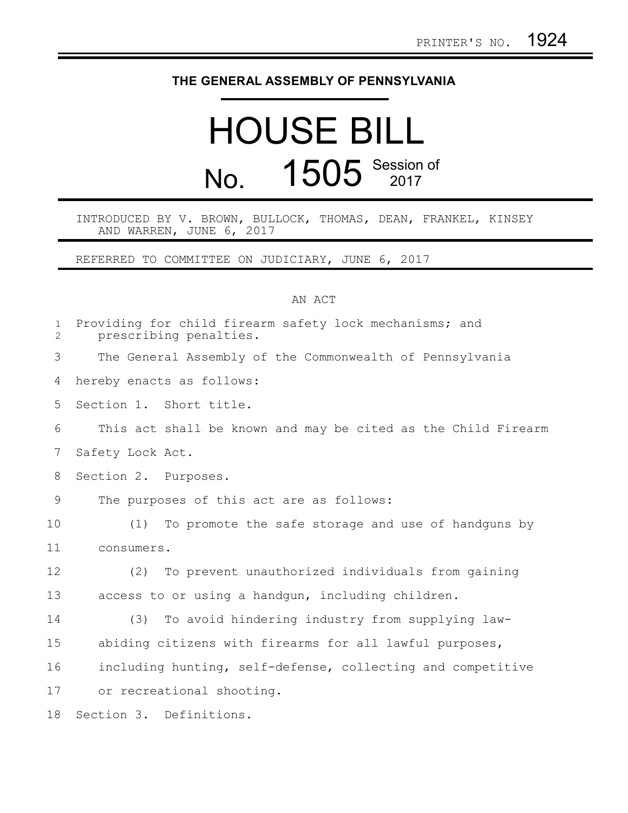## **THE GENERAL ASSEMBLY OF PENNSYLVANIA**

## HOUSE BILL No. 1505 Session of

INTRODUCED BY V. BROWN, BULLOCK, THOMAS, DEAN, FRANKEL, KINSEY AND WARREN, JUNE 6, 2017

REFERRED TO COMMITTEE ON JUDICIARY, JUNE 6, 2017

## AN ACT

| $\mathbf{1}$<br>2 | Providing for child firearm safety lock mechanisms; and<br>prescribing penalties. |
|-------------------|-----------------------------------------------------------------------------------|
| 3                 | The General Assembly of the Commonwealth of Pennsylvania                          |
| 4                 | hereby enacts as follows:                                                         |
| 5                 | Section 1. Short title.                                                           |
| 6                 | This act shall be known and may be cited as the Child Firearm                     |
| 7                 | Safety Lock Act.                                                                  |
| 8                 | Section 2. Purposes.                                                              |
| 9                 | The purposes of this act are as follows:                                          |
| 10                | To promote the safe storage and use of handguns by<br>(1)                         |
| 11                | consumers.                                                                        |
| 12                | To prevent unauthorized individuals from gaining<br>(2)                           |
| 13                | access to or using a handgun, including children.                                 |
| 14                | To avoid hindering industry from supplying law-<br>(3)                            |
| 15                | abiding citizens with firearms for all lawful purposes,                           |
| 16                | including hunting, self-defense, collecting and competitive                       |
| 17                | or recreational shooting.                                                         |
| 18                | Section 3. Definitions.                                                           |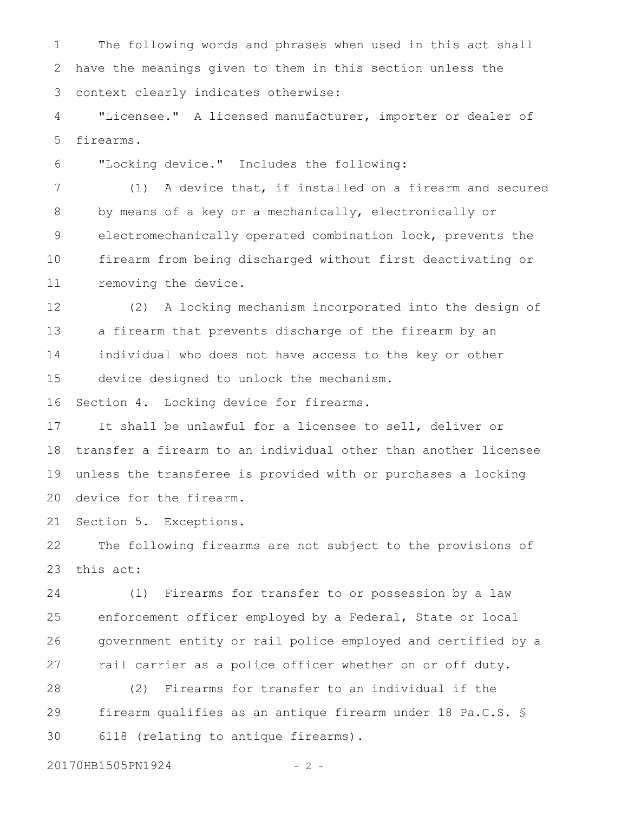The following words and phrases when used in this act shall have the meanings given to them in this section unless the context clearly indicates otherwise: 1 2 3

"Licensee." A licensed manufacturer, importer or dealer of firearms. 4 5

"Locking device." Includes the following: 6

(1) A device that, if installed on a firearm and secured by means of a key or a mechanically, electronically or electromechanically operated combination lock, prevents the firearm from being discharged without first deactivating or removing the device. 7 8 9 10 11

(2) A locking mechanism incorporated into the design of a firearm that prevents discharge of the firearm by an individual who does not have access to the key or other device designed to unlock the mechanism. 12 13 14 15

Section 4. Locking device for firearms. 16

It shall be unlawful for a licensee to sell, deliver or transfer a firearm to an individual other than another licensee unless the transferee is provided with or purchases a locking device for the firearm. 17 18 19 20

Section 5. Exceptions. 21

The following firearms are not subject to the provisions of this act: 22 23

(1) Firearms for transfer to or possession by a law enforcement officer employed by a Federal, State or local government entity or rail police employed and certified by a rail carrier as a police officer whether on or off duty. 24 25 26 27

(2) Firearms for transfer to an individual if the firearm qualifies as an antique firearm under 18 Pa.C.S. § 6118 (relating to antique firearms). 28 29 30

20170HB1505PN1924 - 2 -